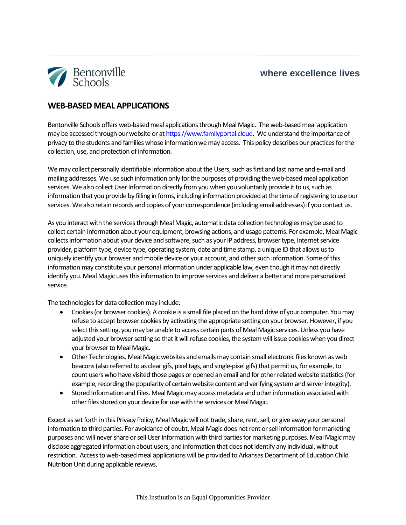## **where excellence lives**



## **WEB-BASED MEAL APPLICATIONS**

Bentonville Schools offers web-based meal applications through Meal Magic. The web-based meal application may be accessed through our website or a[t https://www.familyportal.cloud.](https://www.familyportal.cloud/) We understand the importance of privacy to the students and families whose information we may access. This policy describes our practices for the collection, use, and protection of information.

We may collect personally identifiable information about the Users, such as first and last name and e-mail and mailing addresses. We use such information only for the purposes of providing the web-based meal application services. We also collect User Information directly from you when you voluntarily provide it to us, such as information that you provide by filling in forms, including information provided at the time of registering to use our services. We also retain records and copies of your correspondence (including email addresses) if you contact us.

As you interact with the services through Meal Magic, automatic data collection technologies may be used to collect certain information about your equipment, browsing actions, and usage patterns. For example, Meal Magic collectsinformation about your device and software, such as your IP address, browser type, Internet service provider, platform type, device type, operating system, date and time stamp, a unique ID that allows us to uniquely identify your browser and mobile device or your account, and other such information. Some of this information may constitute your personal information under applicable law, even though it may not directly identify you. Meal Magic usesthis information to improve services and deliver a better and more personalized service.

The technologies for data collection may include:

- Cookies (or browser cookies). A cookie is a small file placed on the hard drive of your computer. You may refuse to accept browser cookies by activating the appropriate setting on your browser. However, if you select this setting, you may be unable to access certain parts of Meal Magic services. Unless you have adjusted your browser setting so that it will refuse cookies, the system will issue cookies when you direct your browser to Meal Magic.
- Other Technologies. Meal Magic websites and emails may contain small electronic files known as web beacons (also referred to as clear gifs, pixel tags, and single-pixel gifs) that permit us, for example, to count users who have visited those pages or opened an email and for other related website statistics (for example, recording the popularity of certain website content and verifying system and server integrity).
- Stored Information and Files. Meal Magic may access metadata and other information associated with other files stored on your device for use with the services or Meal Magic.

Except as set forth in this Privacy Policy, Meal Magic will not trade, share, rent, sell, or give away your personal information to third parties. For avoidance of doubt, Meal Magic does not rent or sell information for marketing purposes and will never share or sell User Information with third parties for marketing purposes. Meal Magic may disclose aggregated information about users, and information that does not identify any individual, without restriction. Access to web-based meal applications will be provided to Arkansas Department of Education Child Nutrition Unit during applicable reviews.